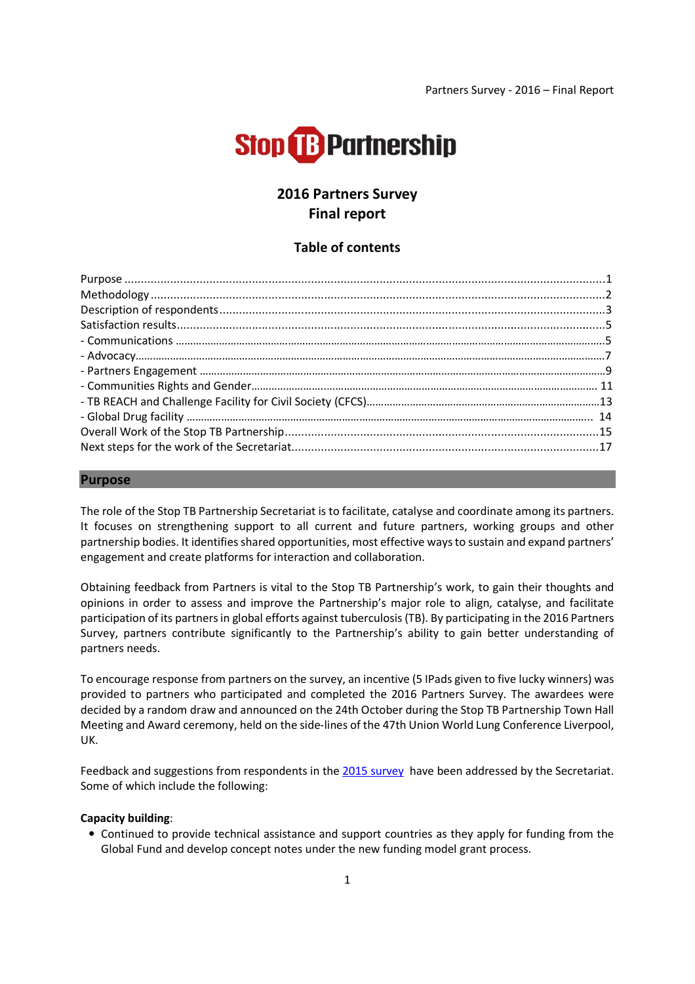

# 2016 Partners Survey Final report

### Table of contents

### Purpose

The role of the Stop TB Partnership Secretariat is to facilitate, catalyse and coordinate among its partners. It focuses on strengthening support to all current and future partners, working groups and other partnership bodies. It identifies shared opportunities, most effective ways to sustain and expand partners' engagement and create platforms for interaction and collaboration.

Obtaining feedback from Partners is vital to the Stop TB Partnership's work, to gain their thoughts and opinions in order to assess and improve the Partnership's major role to align, catalyse, and facilitate participation of its partners in global efforts against tuberculosis (TB). By participating in the 2016 Partners Survey, partners contribute significantly to the Partnership's ability to gain better understanding of partners needs.

To encourage response from partners on the survey, an incentive (5 IPads given to five lucky winners) was provided to partners who participated and completed the 2016 Partners Survey. The awardees were decided by a random draw and announced on the 24th October during the Stop TB Partnership Town Hall Meeting and Award ceremony, held on the side-lines of the 47th Union World Lung Conference Liverpool, UK.

Feedback and suggestions from respondents in the 2015 survey have been addressed by the Secretariat. Some of which include the following:

#### Capacity building:

• Continued to provide technical assistance and support countries as they apply for funding from the Global Fund and develop concept notes under the new funding model grant process.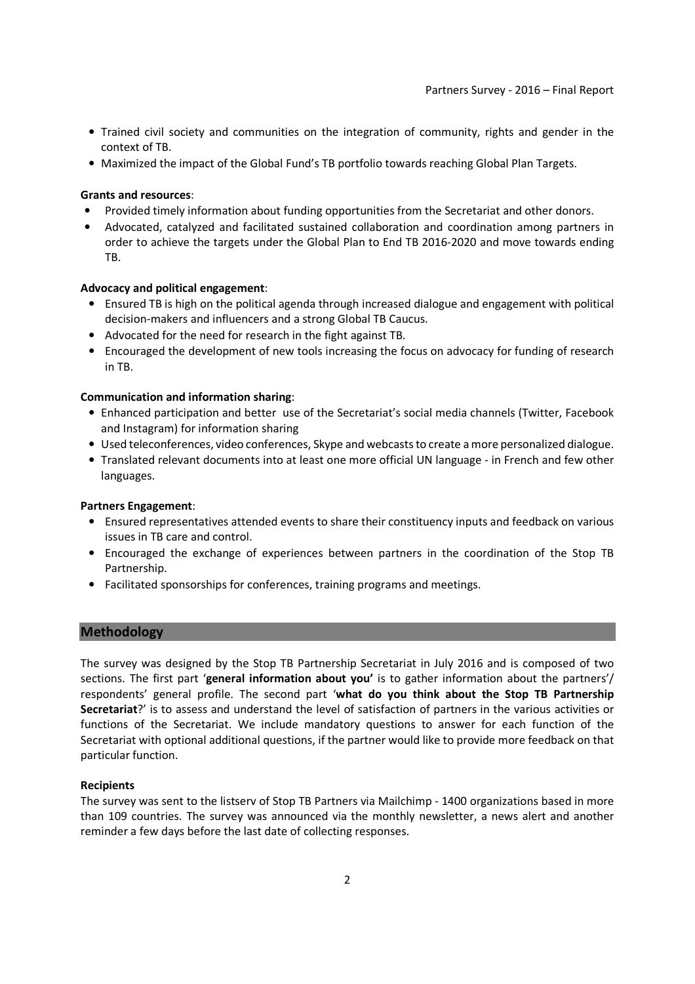- Trained civil society and communities on the integration of community, rights and gender in the context of TB.
- Maximized the impact of the Global Fund's TB portfolio towards reaching Global Plan Targets.

### Grants and resources:

- Provided timely information about funding opportunities from the Secretariat and other donors.
- Advocated, catalyzed and facilitated sustained collaboration and coordination among partners in order to achieve the targets under the Global Plan to End TB 2016-2020 and move towards ending TB.

### Advocacy and political engagement:

- Ensured TB is high on the political agenda through increased dialogue and engagement with political decision-makers and influencers and a strong Global TB Caucus.
- Advocated for the need for research in the fight against TB.
- Encouraged the development of new tools increasing the focus on advocacy for funding of research in TB.

### Communication and information sharing:

- Enhanced participation and better use of the Secretariat's social media channels (Twitter, Facebook and Instagram) for information sharing
- Used teleconferences, video conferences, Skype and webcasts to create a more personalized dialogue.
- Translated relevant documents into at least one more official UN language in French and few other languages.

### Partners Engagement:

- Ensured representatives attended events to share their constituency inputs and feedback on various issues in TB care and control.
- Encouraged the exchange of experiences between partners in the coordination of the Stop TB Partnership.
- Facilitated sponsorships for conferences, training programs and meetings.

# Methodology

The survey was designed by the Stop TB Partnership Secretariat in July 2016 and is composed of two sections. The first part 'general information about you' is to gather information about the partners'/ respondents' general profile. The second part 'what do you think about the Stop TB Partnership Secretariat?' is to assess and understand the level of satisfaction of partners in the various activities or functions of the Secretariat. We include mandatory questions to answer for each function of the Secretariat with optional additional questions, if the partner would like to provide more feedback on that particular function.

### Recipients

The survey was sent to the listserv of Stop TB Partners via Mailchimp - 1400 organizations based in more than 109 countries. The survey was announced via the monthly newsletter, a news alert and another reminder a few days before the last date of collecting responses.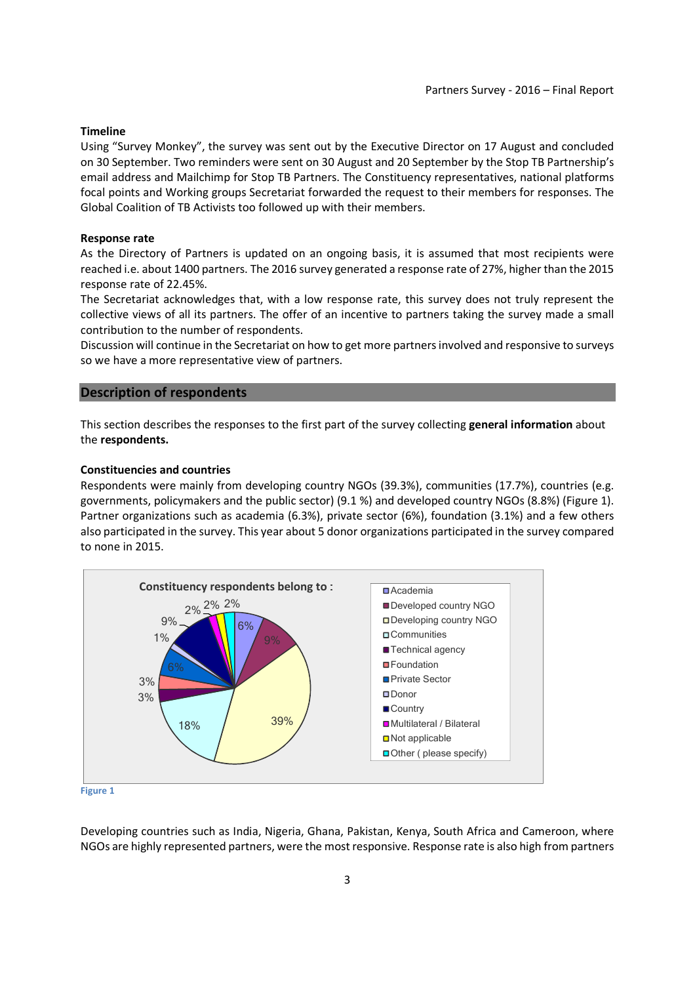#### Timeline

Using "Survey Monkey", the survey was sent out by the Executive Director on 17 August and concluded on 30 September. Two reminders were sent on 30 August and 20 September by the Stop TB Partnership's email address and Mailchimp for Stop TB Partners. The Constituency representatives, national platforms focal points and Working groups Secretariat forwarded the request to their members for responses. The Global Coalition of TB Activists too followed up with their members.

#### Response rate

As the Directory of Partners is updated on an ongoing basis, it is assumed that most recipients were reached i.e. about 1400 partners. The 2016 survey generated a response rate of 27%, higher than the 2015 response rate of 22.45%.

The Secretariat acknowledges that, with a low response rate, this survey does not truly represent the collective views of all its partners. The offer of an incentive to partners taking the survey made a small contribution to the number of respondents.

Discussion will continue in the Secretariat on how to get more partners involved and responsive to surveys so we have a more representative view of partners.

#### Description of respondents

This section describes the responses to the first part of the survey collecting general information about the respondents.

#### Constituencies and countries

Respondents were mainly from developing country NGOs (39.3%), communities (17.7%), countries (e.g. governments, policymakers and the public sector) (9.1 %) and developed country NGOs (8.8%) (Figure 1). Partner organizations such as academia (6.3%), private sector (6%), foundation (3.1%) and a few others also participated in the survey. This year about 5 donor organizations participated in the survey compared to none in 2015.



#### Figure 1

Developing countries such as India, Nigeria, Ghana, Pakistan, Kenya, South Africa and Cameroon, where NGOs are highly represented partners, were the most responsive. Response rate is also high from partners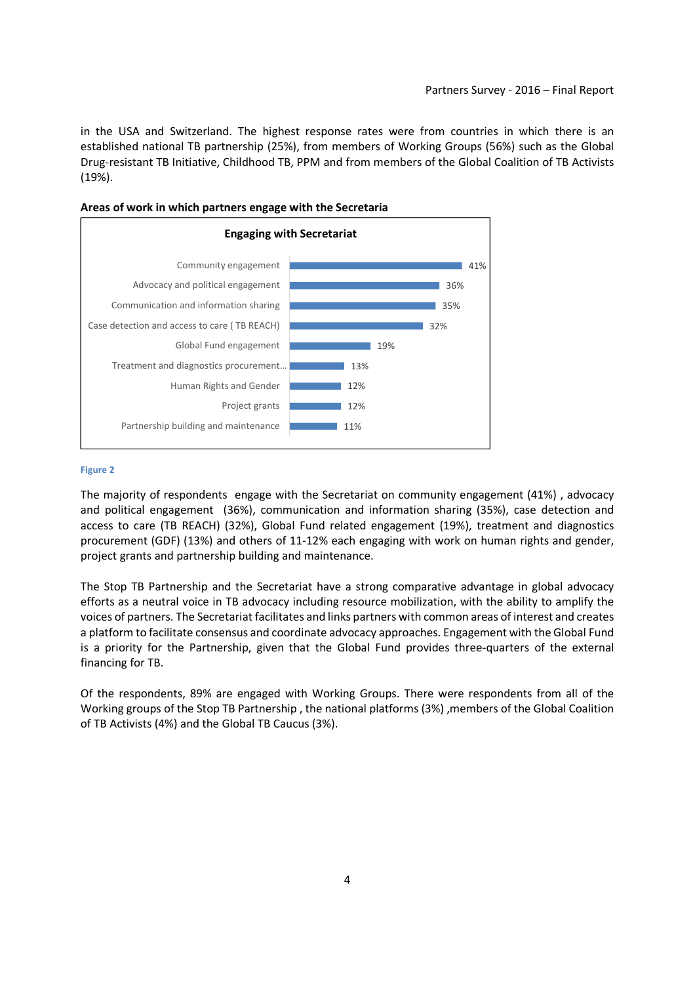in the USA and Switzerland. The highest response rates were from countries in which there is an established national TB partnership (25%), from members of Working Groups (56%) such as the Global Drug-resistant TB Initiative, Childhood TB, PPM and from members of the Global Coalition of TB Activists (19%).



#### Areas of work in which partners engage with the Secretaria

#### Figure 2

The majority of respondents engage with the Secretariat on community engagement (41%) , advocacy and political engagement (36%), communication and information sharing (35%), case detection and access to care (TB REACH) (32%), Global Fund related engagement (19%), treatment and diagnostics procurement (GDF) (13%) and others of 11-12% each engaging with work on human rights and gender, project grants and partnership building and maintenance.

The Stop TB Partnership and the Secretariat have a strong comparative advantage in global advocacy efforts as a neutral voice in TB advocacy including resource mobilization, with the ability to amplify the voices of partners. The Secretariat facilitates and links partners with common areas of interest and creates a platform to facilitate consensus and coordinate advocacy approaches. Engagement with the Global Fund is a priority for the Partnership, given that the Global Fund provides three-quarters of the external financing for TB.

Of the respondents, 89% are engaged with Working Groups. There were respondents from all of the Working groups of the Stop TB Partnership, the national platforms (3%), members of the Global Coalition of TB Activists (4%) and the Global TB Caucus (3%).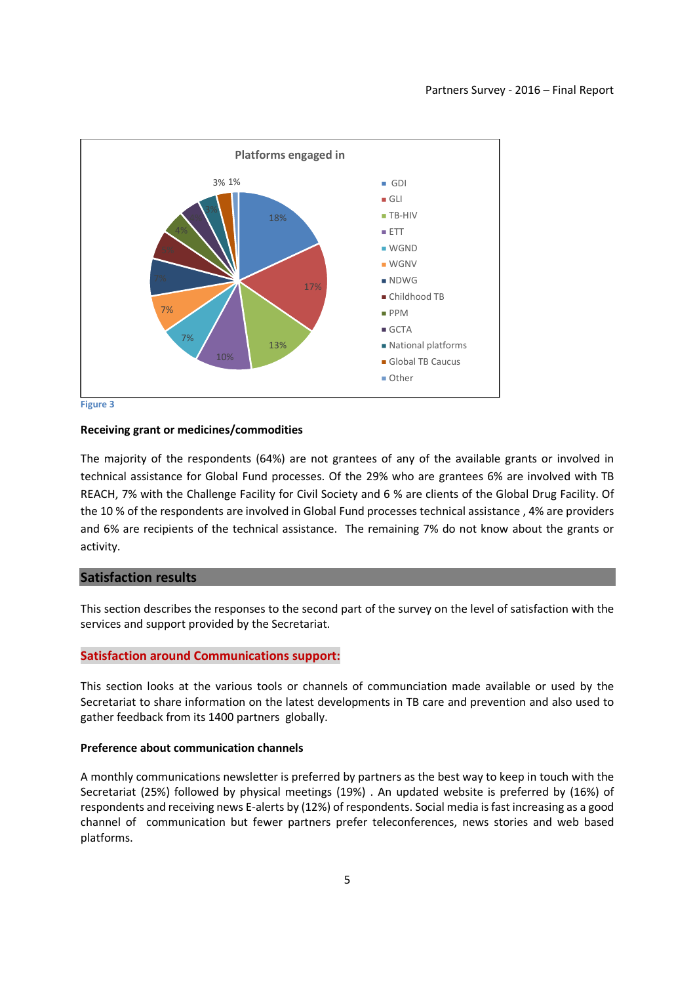



#### Receiving grant or medicines/commodities

The majority of the respondents (64%) are not grantees of any of the available grants or involved in technical assistance for Global Fund processes. Of the 29% who are grantees 6% are involved with TB REACH, 7% with the Challenge Facility for Civil Society and 6 % are clients of the Global Drug Facility. Of the 10 % of the respondents are involved in Global Fund processes technical assistance , 4% are providers and 6% are recipients of the technical assistance. The remaining 7% do not know about the grants or activity.

#### Satisfaction results

This section describes the responses to the second part of the survey on the level of satisfaction with the services and support provided by the Secretariat.

#### Satisfaction around Communications support:

This section looks at the various tools or channels of communciation made available or used by the Secretariat to share information on the latest developments in TB care and prevention and also used to gather feedback from its 1400 partners globally.

### Preference about communication channels

A monthly communications newsletter is preferred by partners as the best way to keep in touch with the Secretariat (25%) followed by physical meetings (19%) . An updated website is preferred by (16%) of respondents and receiving news E-alerts by (12%) of respondents. Social media is fast increasing as a good channel of communication but fewer partners prefer teleconferences, news stories and web based platforms.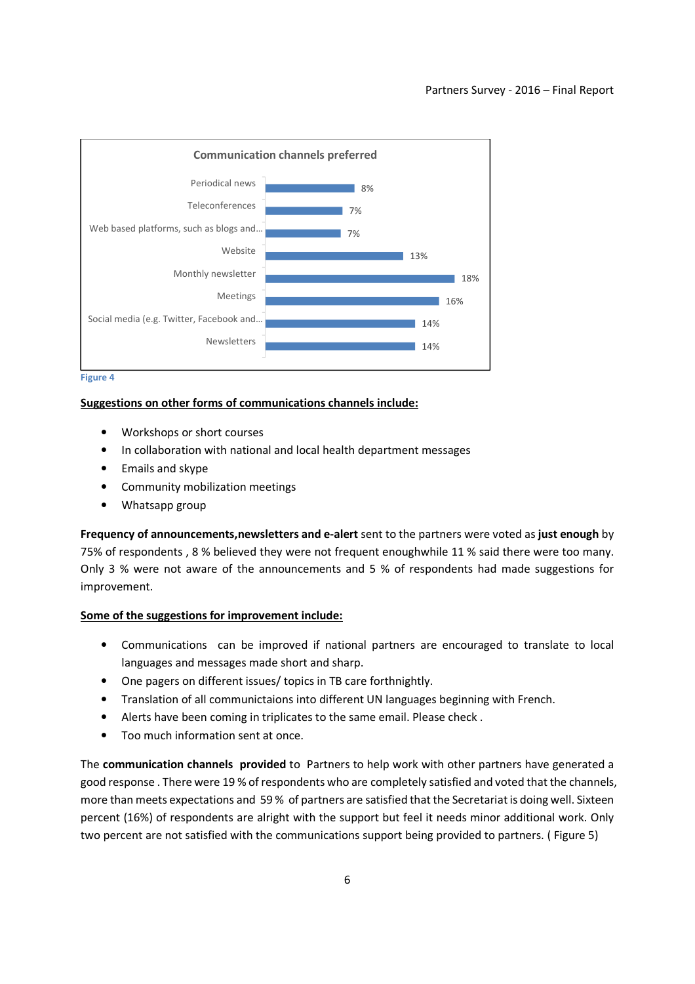



### Suggestions on other forms of communications channels include:

- Workshops or short courses
- In collaboration with national and local health department messages
- Emails and skype
- Community mobilization meetings
- Whatsapp group

Frequency of announcements,newsletters and e-alert sent to the partners were voted as just enough by 75% of respondents , 8 % believed they were not frequent enoughwhile 11 % said there were too many. Only 3 % were not aware of the announcements and 5 % of respondents had made suggestions for improvement.

### Some of the suggestions for improvement include:

- Communications can be improved if national partners are encouraged to translate to local languages and messages made short and sharp.
- One pagers on different issues/ topics in TB care forthnightly.
- Translation of all communictaions into different UN languages beginning with French.
- Alerts have been coming in triplicates to the same email. Please check .
- Too much information sent at once.

The communication channels provided to Partners to help work with other partners have generated a good response . There were 19 % of respondents who are completely satisfied and voted that the channels, more than meets expectations and 59 % of partners are satisfied that the Secretariat is doing well. Sixteen percent (16%) of respondents are alright with the support but feel it needs minor additional work. Only two percent are not satisfied with the communications support being provided to partners. ( Figure 5)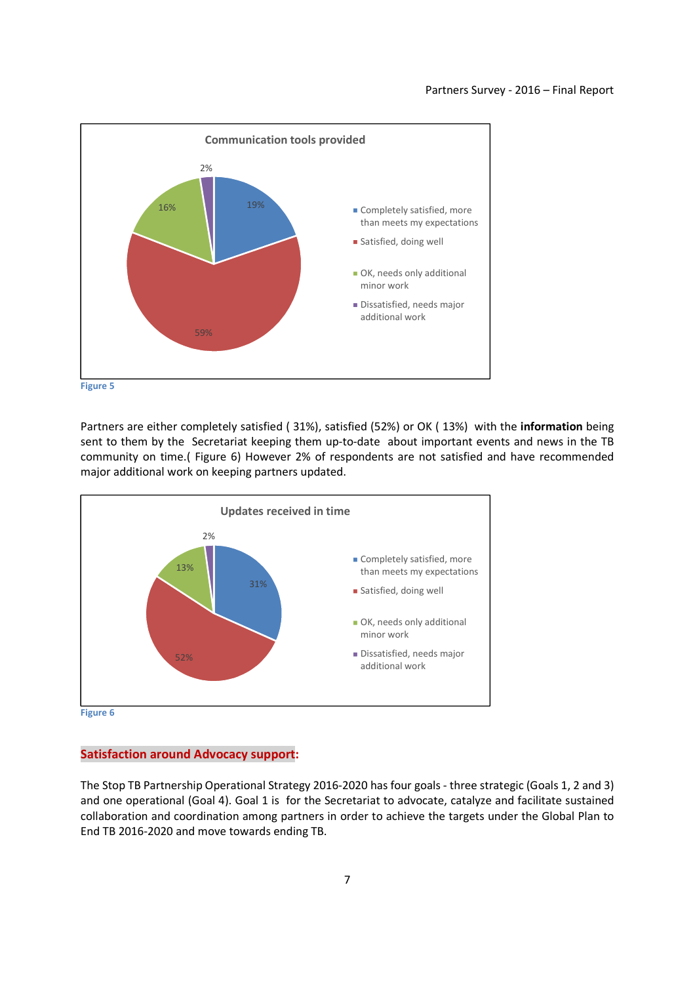



Partners are either completely satisfied (31%), satisfied (52%) or OK (13%) with the information being sent to them by the Secretariat keeping them up-to-date about important events and news in the TB community on time.( Figure 6) However 2% of respondents are not satisfied and have recommended major additional work on keeping partners updated.



Figure 6

# Satisfaction around Advocacy support:

The Stop TB Partnership Operational Strategy 2016-2020 has four goals - three strategic (Goals 1, 2 and 3) and one operational (Goal 4). Goal 1 is for the Secretariat to advocate, catalyze and facilitate sustained collaboration and coordination among partners in order to achieve the targets under the Global Plan to End TB 2016-2020 and move towards ending TB.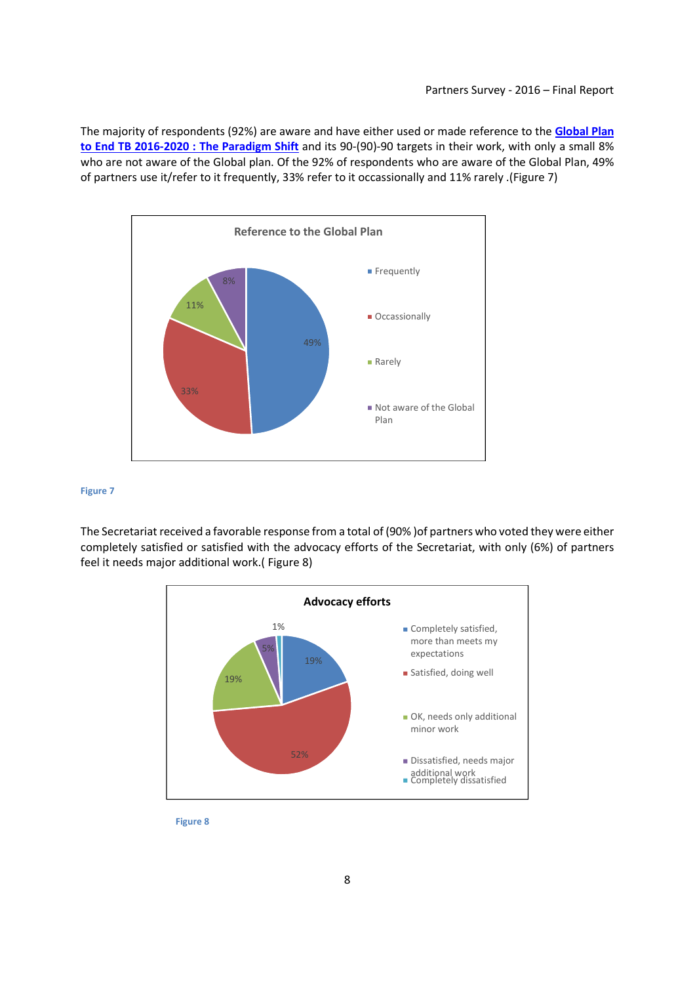The majority of respondents (92%) are aware and have either used or made reference to the **Global Plan** to End TB 2016-2020 : The Paradigm Shift and its 90-(90)-90 targets in their work, with only a small 8% who are not aware of the Global plan. Of the 92% of respondents who are aware of the Global Plan, 49% of partners use it/refer to it frequently, 33% refer to it occassionally and 11% rarely .(Figure 7)



#### Figure 7

The Secretariat received a favorable response from a total of (90% )of partners who voted they were either completely satisfied or satisfied with the advocacy efforts of the Secretariat, with only (6%) of partners feel it needs major additional work.( Figure 8)



Figure 8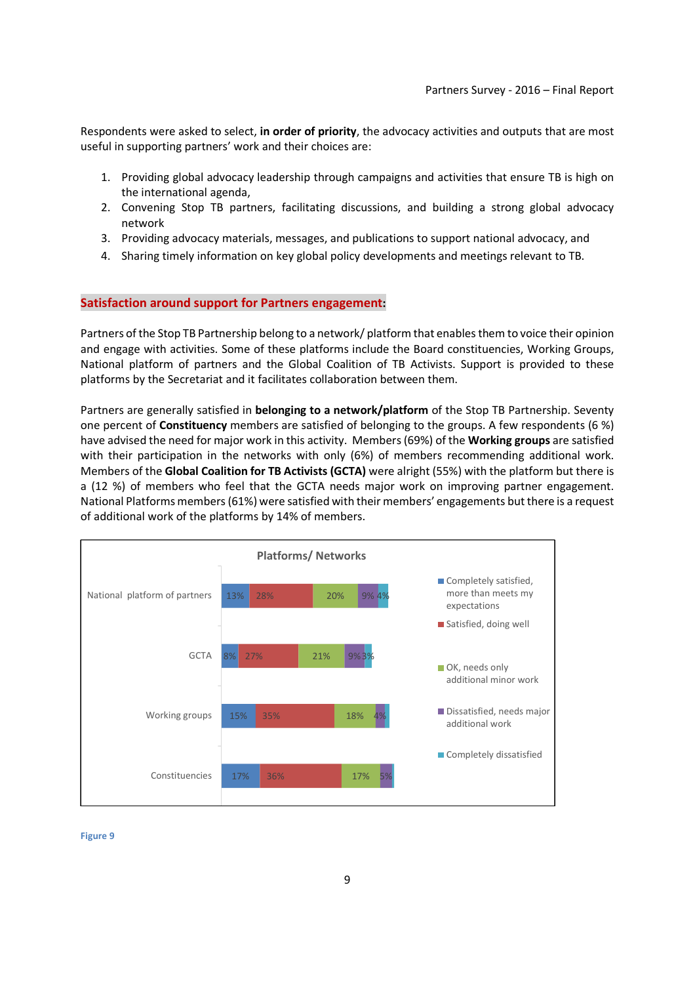Respondents were asked to select, in order of priority, the advocacy activities and outputs that are most useful in supporting partners' work and their choices are:

- 1. Providing global advocacy leadership through campaigns and activities that ensure TB is high on the international agenda,
- 2. Convening Stop TB partners, facilitating discussions, and building a strong global advocacy network
- 3. Providing advocacy materials, messages, and publications to support national advocacy, and
- 4. Sharing timely information on key global policy developments and meetings relevant to TB.

### Satisfaction around support for Partners engagement:

Partners of the Stop TB Partnership belong to a network/ platform that enables them to voice their opinion and engage with activities. Some of these platforms include the Board constituencies, Working Groups, National platform of partners and the Global Coalition of TB Activists. Support is provided to these platforms by the Secretariat and it facilitates collaboration between them.

Partners are generally satisfied in **belonging to a network/platform** of the Stop TB Partnership. Seventy one percent of Constituency members are satisfied of belonging to the groups. A few respondents (6 %) have advised the need for major work in this activity. Members (69%) of the Working groups are satisfied with their participation in the networks with only (6%) of members recommending additional work. Members of the Global Coalition for TB Activists (GCTA) were alright (55%) with the platform but there is a (12 %) of members who feel that the GCTA needs major work on improving partner engagement. National Platforms members (61%) were satisfied with their members' engagements but there is a request of additional work of the platforms by 14% of members.



#### Figure 9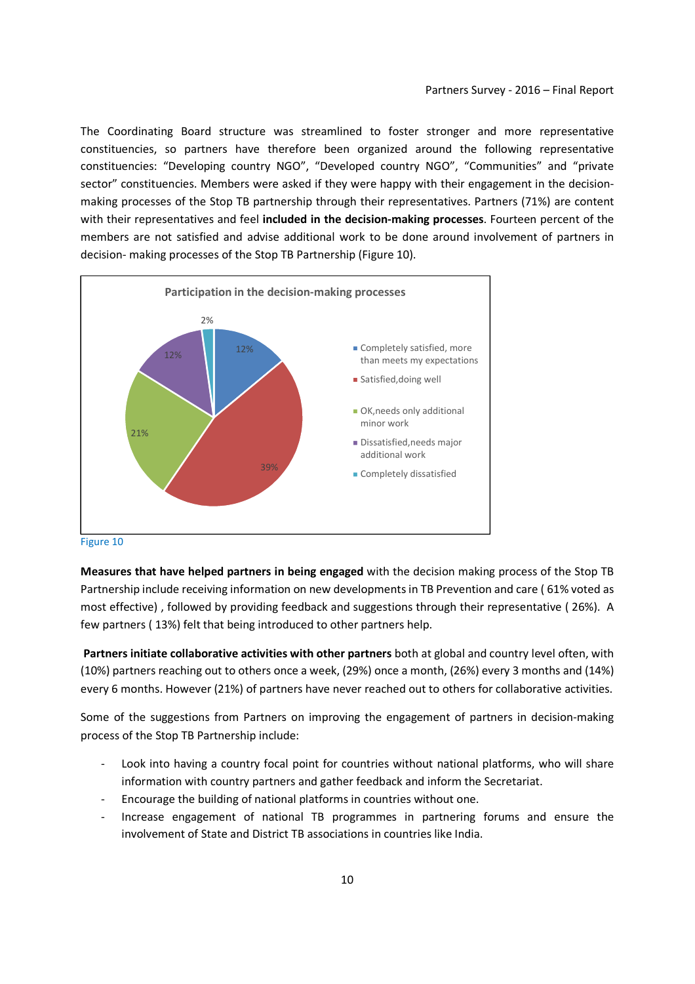The Coordinating Board structure was streamlined to foster stronger and more representative constituencies, so partners have therefore been organized around the following representative constituencies: "Developing country NGO", "Developed country NGO", "Communities" and "private sector" constituencies. Members were asked if they were happy with their engagement in the decisionmaking processes of the Stop TB partnership through their representatives. Partners (71%) are content with their representatives and feel included in the decision-making processes. Fourteen percent of the members are not satisfied and advise additional work to be done around involvement of partners in decision- making processes of the Stop TB Partnership (Figure 10).



Figure 10

Measures that have helped partners in being engaged with the decision making process of the Stop TB Partnership include receiving information on new developments in TB Prevention and care ( 61% voted as most effective) , followed by providing feedback and suggestions through their representative ( 26%). A few partners ( 13%) felt that being introduced to other partners help.

Partners initiate collaborative activities with other partners both at global and country level often, with (10%) partners reaching out to others once a week, (29%) once a month, (26%) every 3 months and (14%) every 6 months. However (21%) of partners have never reached out to others for collaborative activities.

Some of the suggestions from Partners on improving the engagement of partners in decision-making process of the Stop TB Partnership include:

- Look into having a country focal point for countries without national platforms, who will share information with country partners and gather feedback and inform the Secretariat.
- Encourage the building of national platforms in countries without one.
- Increase engagement of national TB programmes in partnering forums and ensure the involvement of State and District TB associations in countries like India.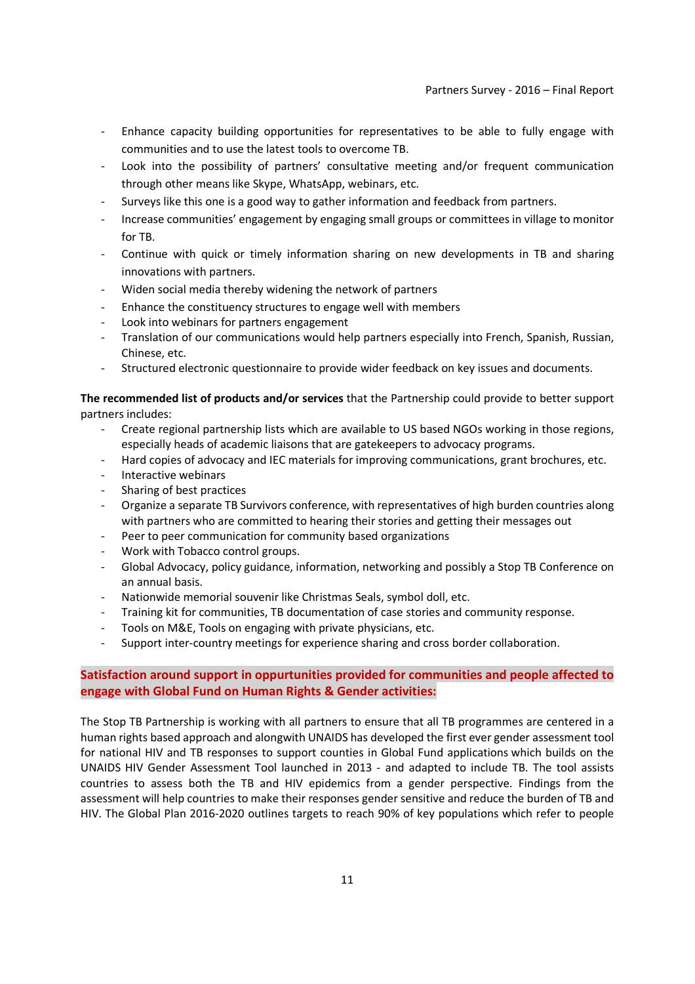- Enhance capacity building opportunities for representatives to be able to fully engage with communities and to use the latest tools to overcome TB.
- Look into the possibility of partners' consultative meeting and/or frequent communication through other means like Skype, WhatsApp, webinars, etc.
- Surveys like this one is a good way to gather information and feedback from partners.
- Increase communities' engagement by engaging small groups or committees in village to monitor for TB.
- Continue with quick or timely information sharing on new developments in TB and sharing innovations with partners.
- Widen social media thereby widening the network of partners
- Enhance the constituency structures to engage well with members
- Look into webinars for partners engagement
- Translation of our communications would help partners especially into French, Spanish, Russian, Chinese, etc.
- Structured electronic questionnaire to provide wider feedback on key issues and documents.

The recommended list of products and/or services that the Partnership could provide to better support partners includes:

- Create regional partnership lists which are available to US based NGOs working in those regions, especially heads of academic liaisons that are gatekeepers to advocacy programs.
- Hard copies of advocacy and IEC materials for improving communications, grant brochures, etc.
- Interactive webinars
- Sharing of best practices
- Organize a separate TB Survivors conference, with representatives of high burden countries along with partners who are committed to hearing their stories and getting their messages out
- Peer to peer communication for community based organizations
- Work with Tobacco control groups.
- Global Advocacy, policy guidance, information, networking and possibly a Stop TB Conference on an annual basis.
- Nationwide memorial souvenir like Christmas Seals, symbol doll, etc.
- Training kit for communities, TB documentation of case stories and community response.
- Tools on M&E, Tools on engaging with private physicians, etc.
- Support inter-country meetings for experience sharing and cross border collaboration.

# Satisfaction around support in oppurtunities provided for communities and people affected to engage with Global Fund on Human Rights & Gender activities:

The Stop TB Partnership is working with all partners to ensure that all TB programmes are centered in a human rights based approach and alongwith UNAIDS has developed the first ever gender assessment tool for national HIV and TB responses to support counties in Global Fund applications which builds on the UNAIDS HIV Gender Assessment Tool launched in 2013 - and adapted to include TB. The tool assists countries to assess both the TB and HIV epidemics from a gender perspective. Findings from the assessment will help countries to make their responses gender sensitive and reduce the burden of TB and HIV. The Global Plan 2016-2020 outlines targets to reach 90% of key populations which refer to people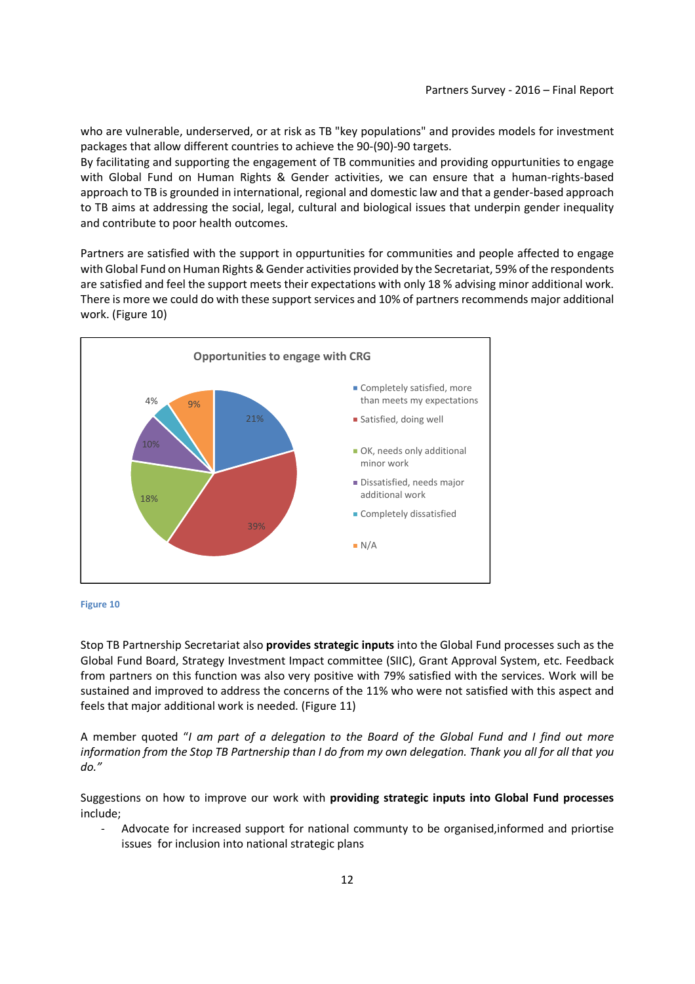who are vulnerable, underserved, or at risk as TB "key populations" and provides models for investment packages that allow different countries to achieve the 90-(90)-90 targets.

By facilitating and supporting the engagement of TB communities and providing oppurtunities to engage with Global Fund on Human Rights & Gender activities, we can ensure that a human-rights-based approach to TB is grounded in international, regional and domestic law and that a gender-based approach to TB aims at addressing the social, legal, cultural and biological issues that underpin gender inequality and contribute to poor health outcomes.

Partners are satisfied with the support in oppurtunities for communities and people affected to engage with Global Fund on Human Rights & Gender activities provided by the Secretariat, 59% of the respondents are satisfied and feel the support meets their expectations with only 18 % advising minor additional work. There is more we could do with these support services and 10% of partners recommends major additional work. (Figure 10)



#### Figure 10

Stop TB Partnership Secretariat also provides strategic inputs into the Global Fund processes such as the Global Fund Board, Strategy Investment Impact committee (SIIC), Grant Approval System, etc. Feedback from partners on this function was also very positive with 79% satisfied with the services. Work will be sustained and improved to address the concerns of the 11% who were not satisfied with this aspect and feels that major additional work is needed. (Figure 11)

A member quoted "I am part of a delegation to the Board of the Global Fund and I find out more information from the Stop TB Partnership than I do from my own delegation. Thank you all for all that you do."

Suggestions on how to improve our work with providing strategic inputs into Global Fund processes include;

- Advocate for increased support for national communty to be organised,informed and priortise issues for inclusion into national strategic plans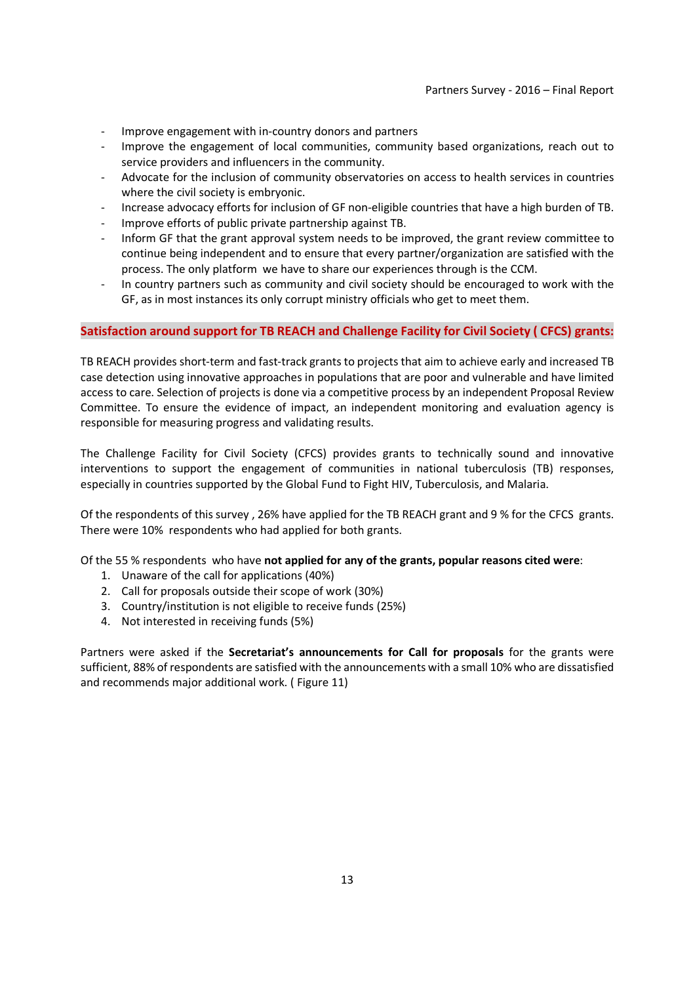- Improve engagement with in-country donors and partners
- Improve the engagement of local communities, community based organizations, reach out to service providers and influencers in the community.
- Advocate for the inclusion of community observatories on access to health services in countries where the civil society is embryonic.
- Increase advocacy efforts for inclusion of GF non-eligible countries that have a high burden of TB.
- Improve efforts of public private partnership against TB.
- Inform GF that the grant approval system needs to be improved, the grant review committee to continue being independent and to ensure that every partner/organization are satisfied with the process. The only platform we have to share our experiences through is the CCM.
- In country partners such as community and civil society should be encouraged to work with the GF, as in most instances its only corrupt ministry officials who get to meet them.

### Satisfaction around support for TB REACH and Challenge Facility for Civil Society ( CFCS) grants:

TB REACH provides short-term and fast-track grants to projects that aim to achieve early and increased TB case detection using innovative approaches in populations that are poor and vulnerable and have limited access to care. Selection of projects is done via a competitive process by an independent Proposal Review Committee. To ensure the evidence of impact, an independent monitoring and evaluation agency is responsible for measuring progress and validating results.

The Challenge Facility for Civil Society (CFCS) provides grants to technically sound and innovative interventions to support the engagement of communities in national tuberculosis (TB) responses, especially in countries supported by the Global Fund to Fight HIV, Tuberculosis, and Malaria.

Of the respondents of this survey , 26% have applied for the TB REACH grant and 9 % for the CFCS grants. There were 10% respondents who had applied for both grants.

Of the 55 % respondents who have not applied for any of the grants, popular reasons cited were:

- 1. Unaware of the call for applications (40%)
- 2. Call for proposals outside their scope of work (30%)
- 3. Country/institution is not eligible to receive funds (25%)
- 4. Not interested in receiving funds (5%)

Partners were asked if the Secretariat's announcements for Call for proposals for the grants were sufficient, 88% of respondents are satisfied with the announcements with a small 10% who are dissatisfied and recommends major additional work. ( Figure 11)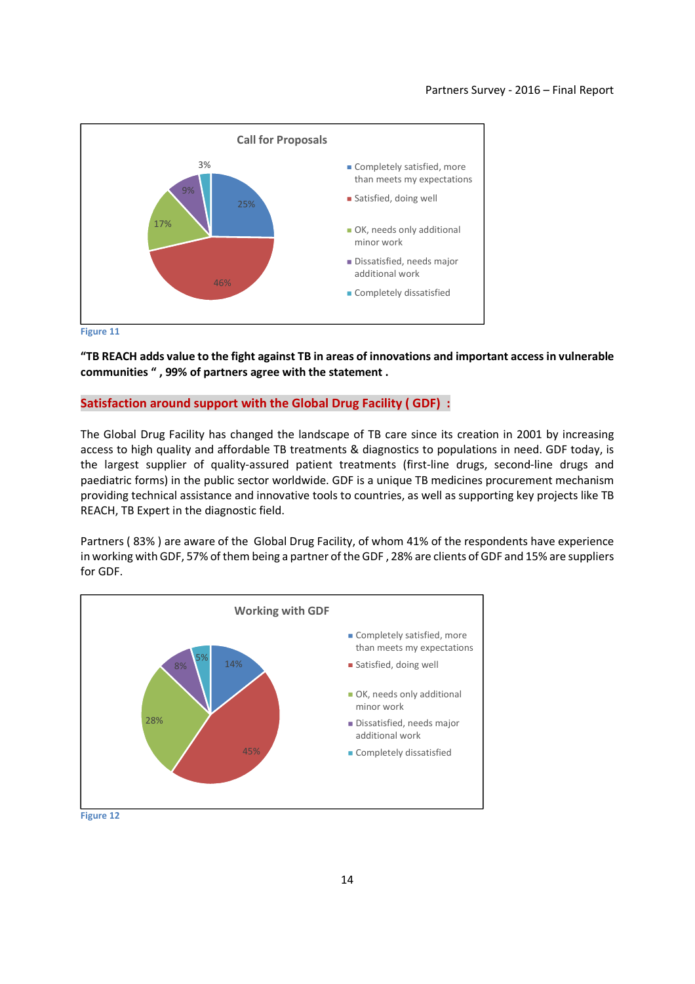



"TB REACH adds value to the fight against TB in areas of innovations and important access in vulnerable communities " , 99% of partners agree with the statement .

# Satisfaction around support with the Global Drug Facility ( GDF) :

The Global Drug Facility has changed the landscape of TB care since its creation in 2001 by increasing access to high quality and affordable TB treatments & diagnostics to populations in need. GDF today, is the largest supplier of quality-assured patient treatments (first-line drugs, second-line drugs and paediatric forms) in the public sector worldwide. GDF is a unique TB medicines procurement mechanism providing technical assistance and innovative tools to countries, as well as supporting key projects like TB REACH, TB Expert in the diagnostic field.

Partners ( 83% ) are aware of the Global Drug Facility, of whom 41% of the respondents have experience in working with GDF, 57% of them being a partner of the GDF , 28% are clients of GDF and 15% are suppliers for GDF.

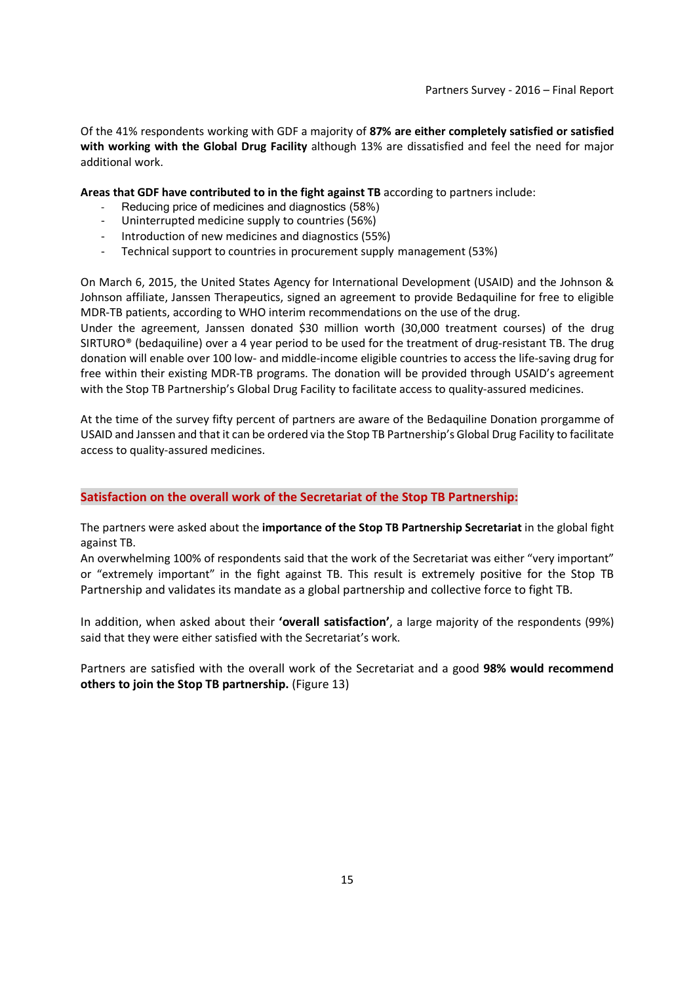Of the 41% respondents working with GDF a majority of 87% are either completely satisfied or satisfied with working with the Global Drug Facility although 13% are dissatisfied and feel the need for major additional work.

Areas that GDF have contributed to in the fight against TB according to partners include:

- Reducing price of medicines and diagnostics (58%)
- Uninterrupted medicine supply to countries (56%)
- Introduction of new medicines and diagnostics (55%)
- Technical support to countries in procurement supply management (53%)

On March 6, 2015, the United States Agency for International Development (USAID) and the Johnson & Johnson affiliate, Janssen Therapeutics, signed an agreement to provide Bedaquiline for free to eligible MDR-TB patients, according to WHO interim recommendations on the use of the drug.

Under the agreement, Janssen donated \$30 million worth (30,000 treatment courses) of the drug SIRTURO® (bedaquiline) over a 4 year period to be used for the treatment of drug-resistant TB. The drug donation will enable over 100 low- and middle-income eligible countries to access the life-saving drug for free within their existing MDR-TB programs. The donation will be provided through USAID's agreement with the Stop TB Partnership's Global Drug Facility to facilitate access to quality-assured medicines.

At the time of the survey fifty percent of partners are aware of the Bedaquiline Donation prorgamme of USAID and Janssen and that it can be ordered via the Stop TB Partnership's Global Drug Facility to facilitate access to quality-assured medicines.

### Satisfaction on the overall work of the Secretariat of the Stop TB Partnership:

The partners were asked about the importance of the Stop TB Partnership Secretariat in the global fight against TB.

An overwhelming 100% of respondents said that the work of the Secretariat was either "very important" or "extremely important" in the fight against TB. This result is extremely positive for the Stop TB Partnership and validates its mandate as a global partnership and collective force to fight TB.

In addition, when asked about their 'overall satisfaction', a large majority of the respondents (99%) said that they were either satisfied with the Secretariat's work.

Partners are satisfied with the overall work of the Secretariat and a good 98% would recommend others to join the Stop TB partnership. (Figure 13)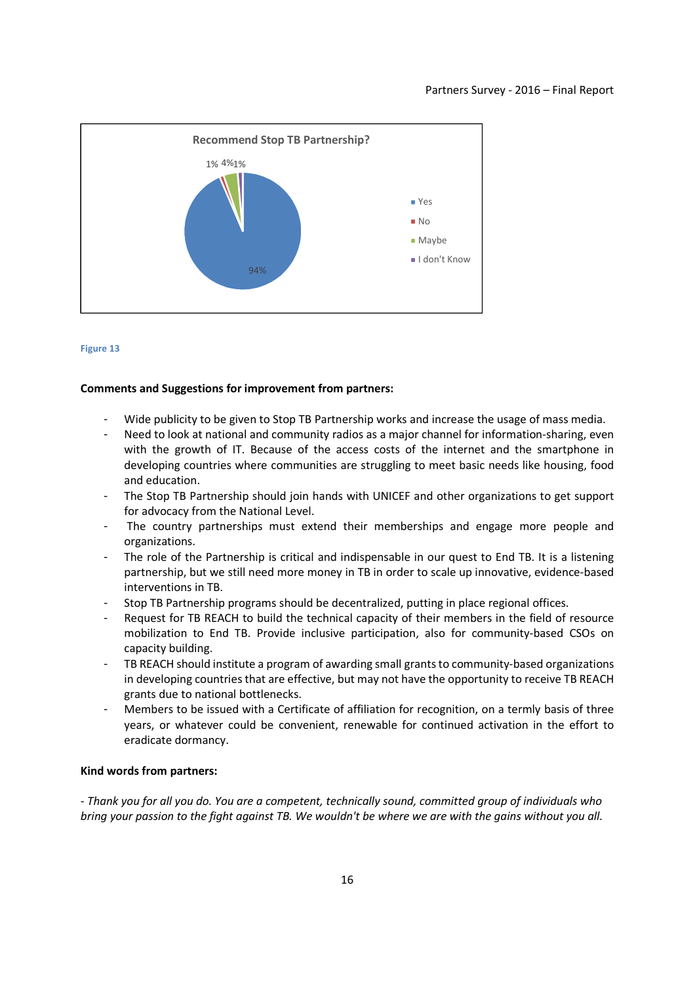



#### Comments and Suggestions for improvement from partners:

- Wide publicity to be given to Stop TB Partnership works and increase the usage of mass media.
- Need to look at national and community radios as a major channel for information-sharing, even with the growth of IT. Because of the access costs of the internet and the smartphone in developing countries where communities are struggling to meet basic needs like housing, food and education.
- The Stop TB Partnership should join hands with UNICEF and other organizations to get support for advocacy from the National Level.
- The country partnerships must extend their memberships and engage more people and organizations.
- The role of the Partnership is critical and indispensable in our quest to End TB. It is a listening partnership, but we still need more money in TB in order to scale up innovative, evidence-based interventions in TB.
- Stop TB Partnership programs should be decentralized, putting in place regional offices.
- Request for TB REACH to build the technical capacity of their members in the field of resource mobilization to End TB. Provide inclusive participation, also for community-based CSOs on capacity building.
- TB REACH should institute a program of awarding small grants to community-based organizations in developing countries that are effective, but may not have the opportunity to receive TB REACH grants due to national bottlenecks.
- Members to be issued with a Certificate of affiliation for recognition, on a termly basis of three years, or whatever could be convenient, renewable for continued activation in the effort to eradicate dormancy.

#### Kind words from partners:

- Thank you for all you do. You are a competent, technically sound, committed group of individuals who bring your passion to the fight against TB. We wouldn't be where we are with the gains without you all.